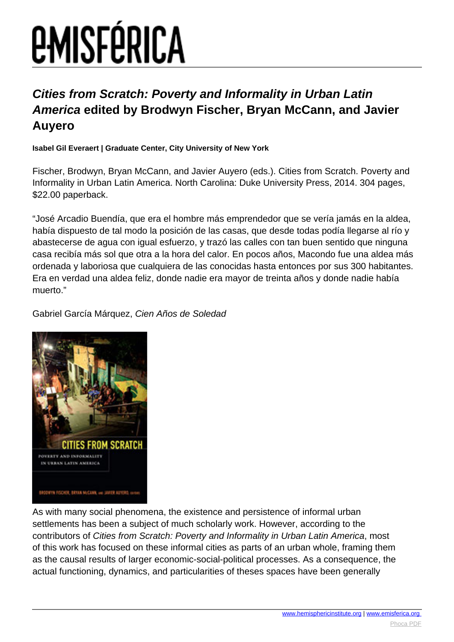# *EMISFÉRICA*

#### **Cities from Scratch: Poverty and Informality in Urban Latin America edited by Brodwyn Fischer, Bryan McCann, and Javier Auyero**

**Isabel Gil Everaert | Graduate Center, City University of New York**

Fischer, Brodwyn, Bryan McCann, and Javier Auyero (eds.). Cities from Scratch. Poverty and Informality in Urban Latin America. North Carolina: Duke University Press, 2014. 304 pages, \$22.00 paperback.

"José Arcadio Buendía, que era el hombre más emprendedor que se vería jamás en la aldea, había dispuesto de tal modo la posición de las casas, que desde todas podía llegarse al río y abastecerse de agua con igual esfuerzo, y trazó las calles con tan buen sentido que ninguna casa recibía más sol que otra a la hora del calor. En pocos años, Macondo fue una aldea más ordenada y laboriosa que cualquiera de las conocidas hasta entonces por sus 300 habitantes. Era en verdad una aldea feliz, donde nadie era mayor de treinta años y donde nadie había muerto."

Gabriel García Márquez, Cien Años de Soledad



As with many social phenomena, the existence and persistence of informal urban settlements has been a subject of much scholarly work. However, according to the contributors of Cities from Scratch: Poverty and Informality in Urban Latin America, most of this work has focused on these informal cities as parts of an urban whole, framing them as the causal results of larger economic-social-political processes. As a consequence, the actual functioning, dynamics, and particularities of theses spaces have been generally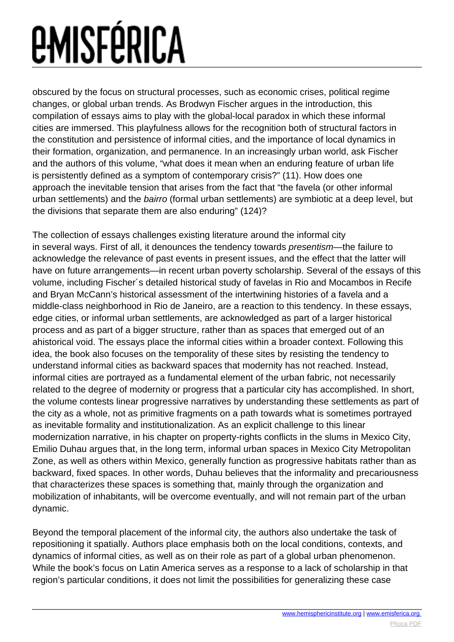## *<u>EMISFÉRICA</u>*

obscured by the focus on structural processes, such as economic crises, political regime changes, or global urban trends. As Brodwyn Fischer argues in the introduction, this compilation of essays aims to play with the global-local paradox in which these informal cities are immersed. This playfulness allows for the recognition both of structural factors in the constitution and persistence of informal cities, and the importance of local dynamics in their formation, organization, and permanence. In an increasingly urban world, ask Fischer and the authors of this volume, "what does it mean when an enduring feature of urban life is persistently defined as a symptom of contemporary crisis?" (11). How does one approach the inevitable tension that arises from the fact that "the favela (or other informal urban settlements) and the bairro (formal urban settlements) are symbiotic at a deep level, but the divisions that separate them are also enduring" (124)?

The collection of essays challenges existing literature around the informal city in several ways. First of all, it denounces the tendency towards presentism—the failure to acknowledge the relevance of past events in present issues, and the effect that the latter will have on future arrangements—in recent urban poverty scholarship. Several of the essays of this volume, including Fischer´s detailed historical study of favelas in Rio and Mocambos in Recife and Bryan McCann's historical assessment of the intertwining histories of a favela and a middle-class neighborhood in Rio de Janeiro, are a reaction to this tendency. In these essays, edge cities, or informal urban settlements, are acknowledged as part of a larger historical process and as part of a bigger structure, rather than as spaces that emerged out of an ahistorical void. The essays place the informal cities within a broader context. Following this idea, the book also focuses on the temporality of these sites by resisting the tendency to understand informal cities as backward spaces that modernity has not reached. Instead, informal cities are portrayed as a fundamental element of the urban fabric, not necessarily related to the degree of modernity or progress that a particular city has accomplished. In short, the volume contests linear progressive narratives by understanding these settlements as part of the city as a whole, not as primitive fragments on a path towards what is sometimes portrayed as inevitable formality and institutionalization. As an explicit challenge to this linear modernization narrative, in his chapter on property-rights conflicts in the slums in Mexico City, Emilio Duhau argues that, in the long term, informal urban spaces in Mexico City Metropolitan Zone, as well as others within Mexico, generally function as progressive habitats rather than as backward, fixed spaces. In other words, Duhau believes that the informality and precariousness that characterizes these spaces is something that, mainly through the organization and mobilization of inhabitants, will be overcome eventually, and will not remain part of the urban dynamic.

Beyond the temporal placement of the informal city, the authors also undertake the task of repositioning it spatially. Authors place emphasis both on the local conditions, contexts, and dynamics of informal cities, as well as on their role as part of a global urban phenomenon. While the book's focus on Latin America serves as a response to a lack of scholarship in that region's particular conditions, it does not limit the possibilities for generalizing these case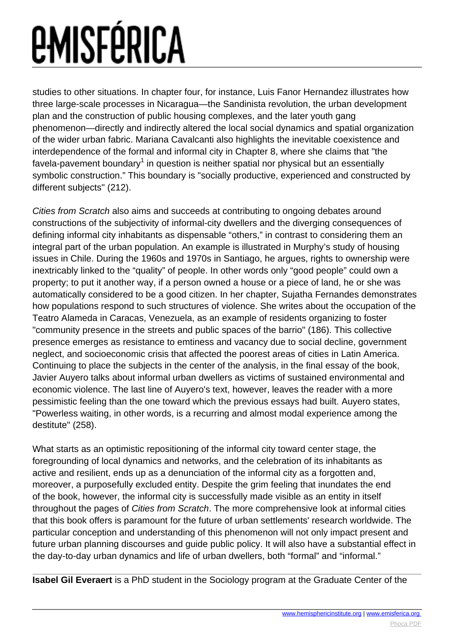## *EMISFÉRICA*

studies to other situations. In chapter four, for instance, Luis Fanor Hernandez illustrates how three large-scale processes in Nicaragua—the Sandinista revolution, the urban development plan and the construction of public housing complexes, and the later youth gang phenomenon—directly and indirectly altered the local social dynamics and spatial organization of the wider urban fabric. Mariana Cavalcanti also highlights the inevitable coexistence and interdependence of the formal and informal city in Chapter 8, where she claims that "the favela-pavement boundary $^{\rm 1}$  in question is neither spatial nor physical but an essentially symbolic construction." This boundary is "socially productive, experienced and constructed by different subjects" (212).

Cities from Scratch also aims and succeeds at contributing to ongoing debates around constructions of the subjectivity of informal-city dwellers and the diverging consequences of defining informal city inhabitants as dispensable "others," in contrast to considering them an integral part of the urban population. An example is illustrated in Murphy's study of housing issues in Chile. During the 1960s and 1970s in Santiago, he argues, rights to ownership were inextricably linked to the "quality" of people. In other words only "good people" could own a property; to put it another way, if a person owned a house or a piece of land, he or she was automatically considered to be a good citizen. In her chapter, Sujatha Fernandes demonstrates how populations respond to such structures of violence. She writes about the occupation of the Teatro Alameda in Caracas, Venezuela, as an example of residents organizing to foster "community presence in the streets and public spaces of the barrio" (186). This collective presence emerges as resistance to emtiness and vacancy due to social decline, government neglect, and socioeconomic crisis that affected the poorest areas of cities in Latin America. Continuing to place the subjects in the center of the analysis, in the final essay of the book, Javier Auyero talks about informal urban dwellers as victims of sustained environmental and economic violence. The last line of Auyero's text, however, leaves the reader with a more pessimistic feeling than the one toward which the previous essays had built. Auyero states, "Powerless waiting, in other words, is a recurring and almost modal experience among the destitute" (258).

What starts as an optimistic repositioning of the informal city toward center stage, the foregrounding of local dynamics and networks, and the celebration of its inhabitants as active and resilient, ends up as a denunciation of the informal city as a forgotten and, moreover, a purposefully excluded entity. Despite the grim feeling that inundates the end of the book, however, the informal city is successfully made visible as an entity in itself throughout the pages of Cities from Scratch. The more comprehensive look at informal cities that this book offers is paramount for the future of urban settlements' research worldwide. The particular conception and understanding of this phenomenon will not only impact present and future urban planning discourses and guide public policy. It will also have a substantial effect in the day-to-day urban dynamics and life of urban dwellers, both "formal" and "informal."

**Isabel Gil Everaert** is a PhD student in the Sociology program at the Graduate Center of the